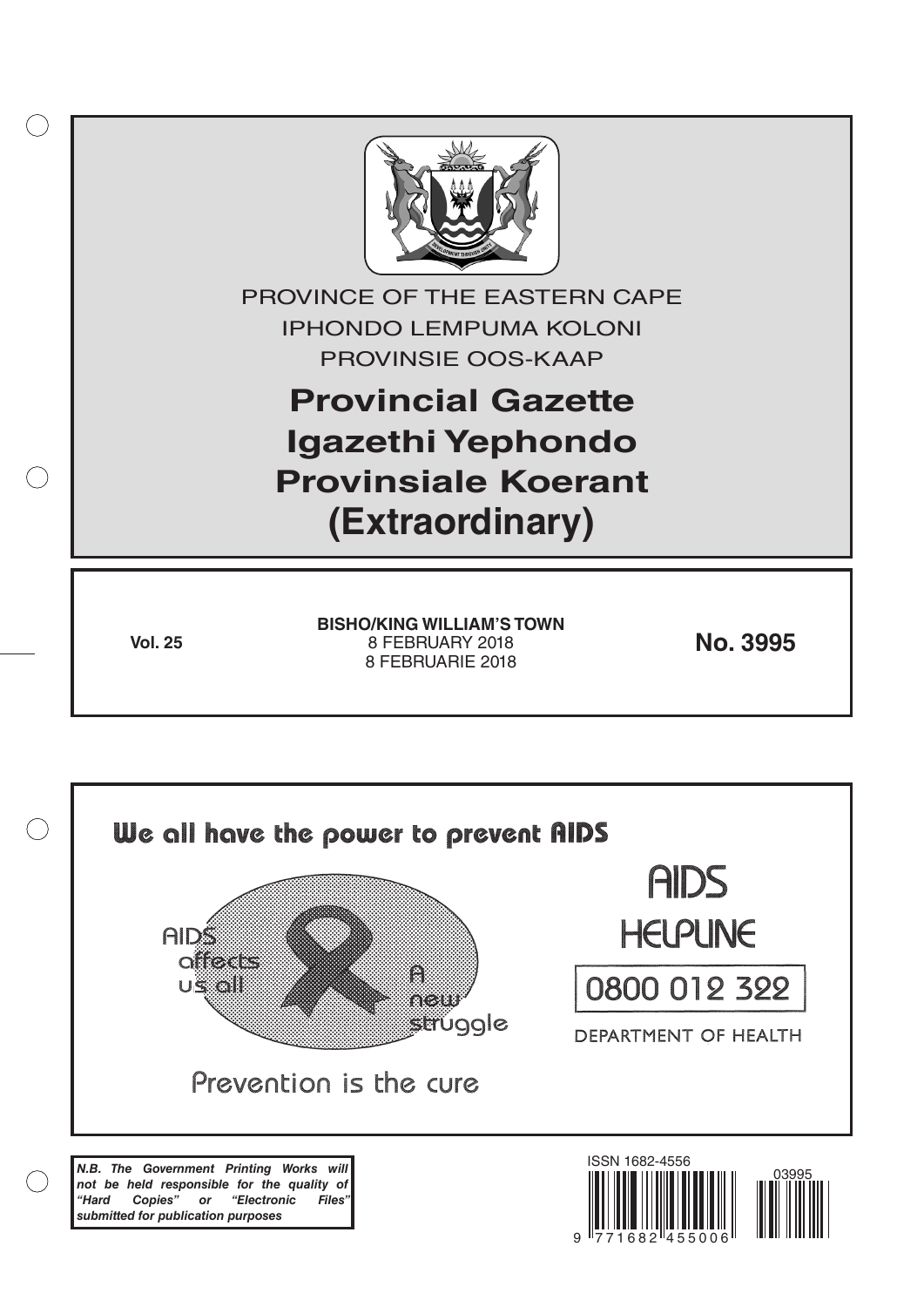

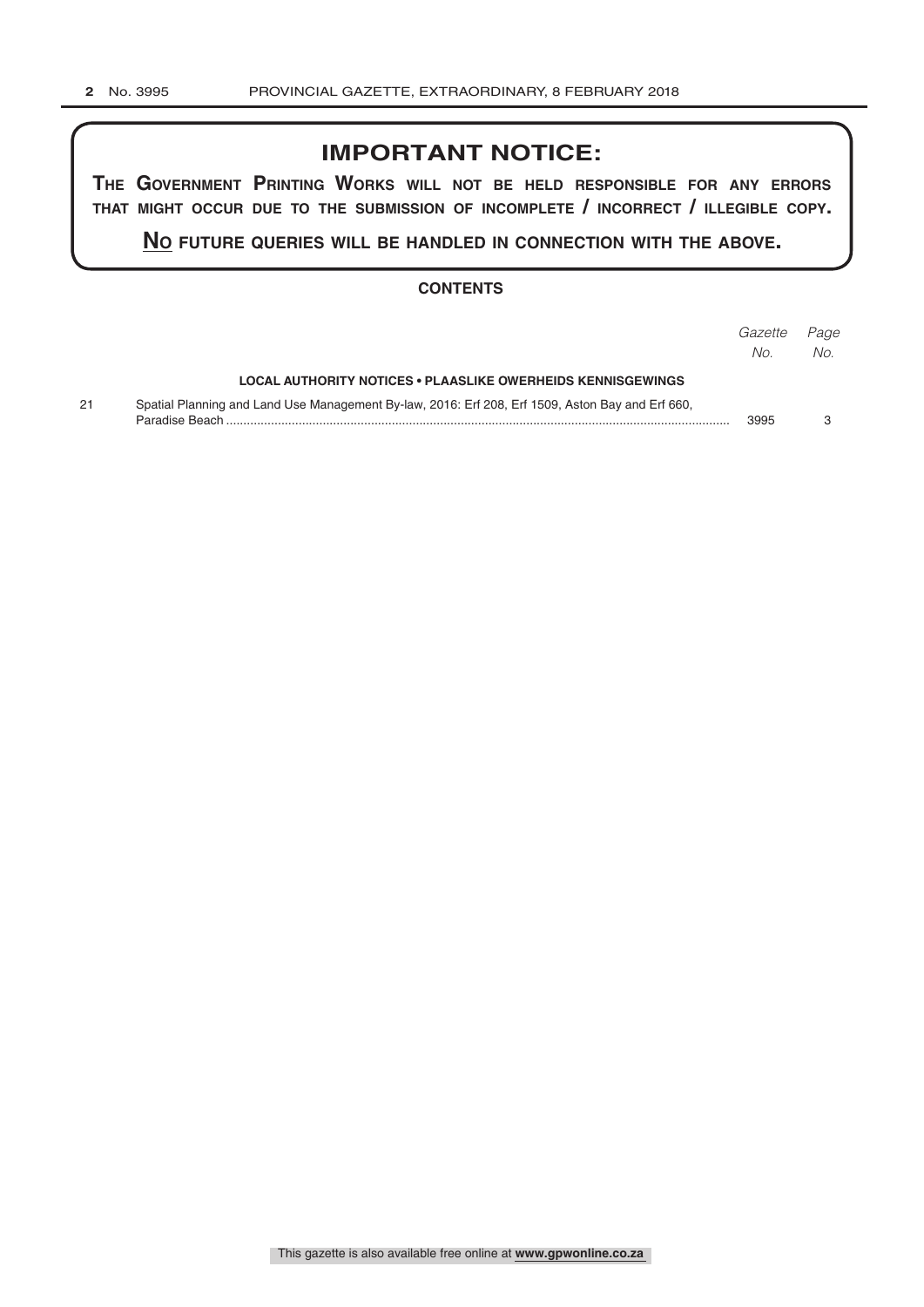# **IMPORTANT NOTICE:**

**The GovernmenT PrinTinG Works Will noT be held resPonsible for any errors ThaT miGhT occur due To The submission of incomPleTe / incorrecT / illeGible coPy.**

**no fuTure queries Will be handled in connecTion WiTh The above.**

## **CONTENTS**

|    |                                                                                                  | Gazette<br>No. | Page<br>No. |
|----|--------------------------------------------------------------------------------------------------|----------------|-------------|
|    | LOCAL AUTHORITY NOTICES • PLAASLIKE OWERHEIDS KENNISGEWINGS                                      |                |             |
| 21 | Spatial Planning and Land Use Management By-law, 2016: Erf 208, Erf 1509, Aston Bay and Erf 660, | 3995           |             |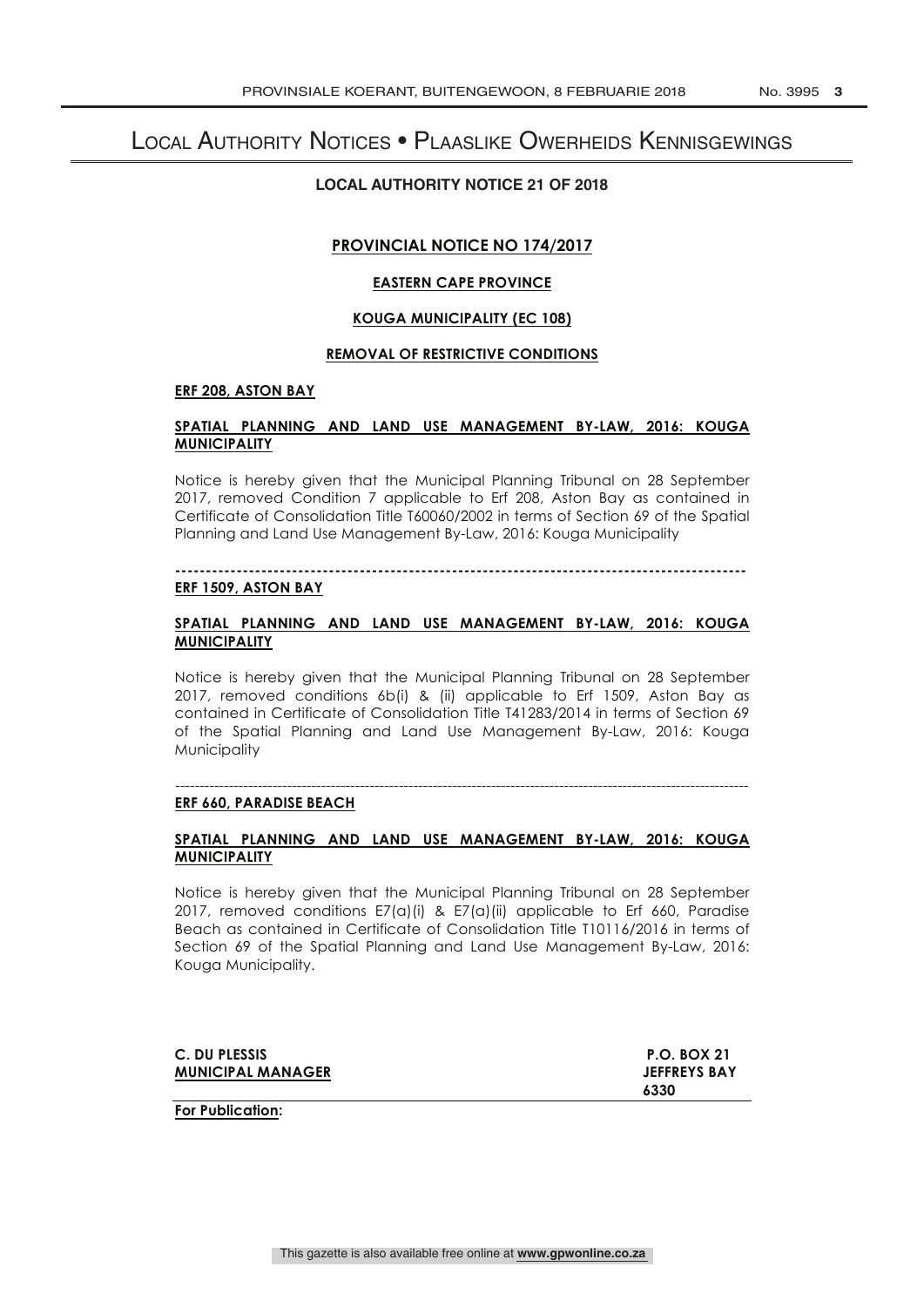## Local Authority Notices • Plaaslike Owerheids Kennisgewings

## **LOCAL AUTHORITY NOTICE 21 OF 2018**

## **PROVINCIAL NOTICE NO 174/2017**

### **EASTERN CAPE PROVINCE**

### **KOUGA MUNICIPALITY (EC 108)**

#### **REMOVAL OF RESTRICTIVE CONDITIONS**

#### **ERF 208, ASTON BAY**

#### **SPATIAL PLANNING AND LAND USE MANAGEMENT BY-LAW, 2016: KOUGA MUNICIPALITY**

Notice is hereby given that the Municipal Planning Tribunal on 28 September 2017, removed Condition 7 applicable to Erf 208, Aston Bay as contained in Certificate of Consolidation Title T60060/2002 in terms of Section 69 of the Spatial Planning and Land Use Management By-Law, 2016: Kouga Municipality

## **---------------------------------------------------------------------------------------------**

## **ERF 1509, ASTON BAY**

## **SPATIAL PLANNING AND LAND USE MANAGEMENT BY-LAW, 2016: KOUGA MUNICIPALITY**

Notice is hereby given that the Municipal Planning Tribunal on 28 September 2017, removed conditions 6b(i) & (ii) applicable to Erf 1509, Aston Bay as contained in Certificate of Consolidation Title T41283/2014 in terms of Section 69 of the Spatial Planning and Land Use Management By-Law, 2016: Kouga Municipality

#### ---------------------------------------------------------------------------------------------------------------------- **ERF 660, PARADISE BEACH**

## **SPATIAL PLANNING AND LAND USE MANAGEMENT BY-LAW, 2016: KOUGA MUNICIPALITY**

Notice is hereby given that the Municipal Planning Tribunal on 28 September 2017, removed conditions E7(a)(i) & E7(a)(ii) applicable to Erf 660, Paradise Beach as contained in Certificate of Consolidation Title T10116/2016 in terms of Section 69 of the Spatial Planning and Land Use Management By-Law, 2016: Kouga Municipality.

| C. DU PLESSIS            | <b>P.O. BOX 21</b>  |
|--------------------------|---------------------|
| <b>MUNICIPAL MANAGER</b> | <b>JEFFREYS BAY</b> |
|                          | 6330                |

**For Publication:**